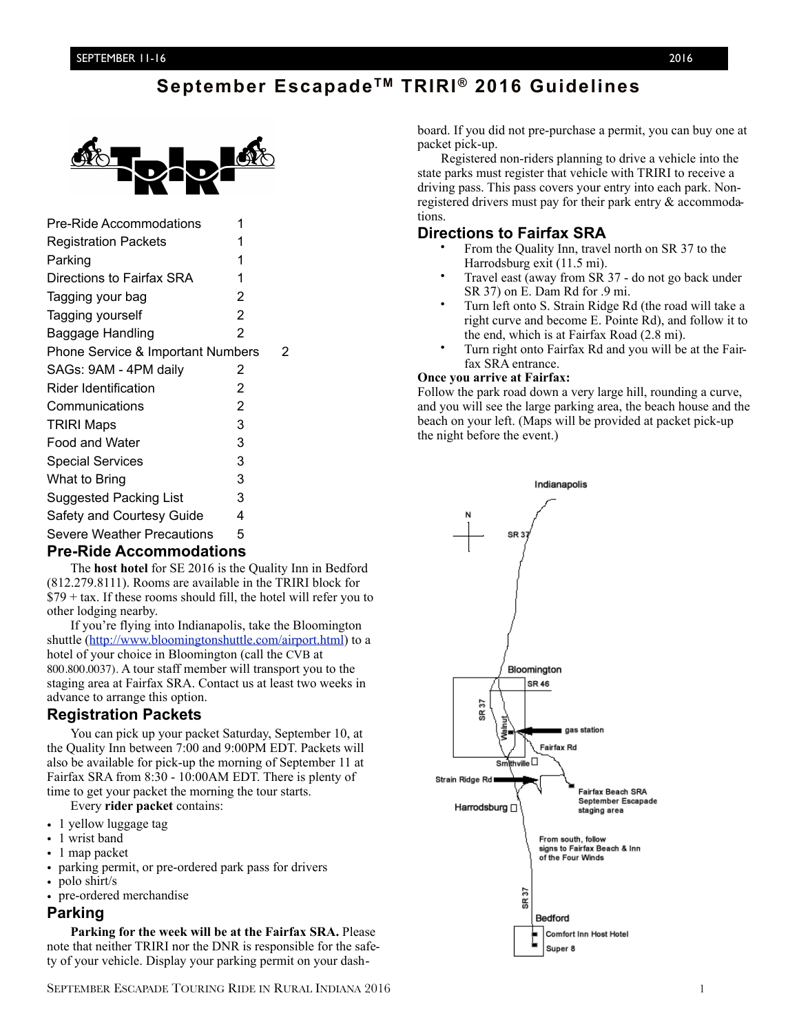# **September EscapadeTM TRIRI ® 2016 Guidelines**



| Pre-Ride Accommodations           | 1 |   |
|-----------------------------------|---|---|
| <b>Registration Packets</b>       | 1 |   |
| Parking                           | 1 |   |
| Directions to Fairfax SRA         | 1 |   |
| Tagging your bag                  | 2 |   |
| Tagging yourself                  | 2 |   |
| Baggage Handling                  | 2 |   |
| Phone Service & Important Numbers |   | 2 |
| SAGs: 9AM - 4PM daily             | 2 |   |
| Rider Identification              | 2 |   |
| Communications                    | 2 |   |
| <b>TRIRI Maps</b>                 | 3 |   |
| Food and Water                    | 3 |   |
| <b>Special Services</b>           | 3 |   |
| What to Bring                     | 3 |   |
| <b>Suggested Packing List</b>     | 3 |   |
| Safety and Courtesy Guide         | 4 |   |
| Severe Weather Precautions        | 5 |   |
| . m:j. A<br>n.<br>л.              |   |   |

### **Pre-Ride Accommodations**

The **host hotel** for SE 2016 is the Quality Inn in Bedford (812.279.8111). Rooms are available in the TRIRI block for  $$79 + tax.$  If these rooms should fill, the hotel will refer you to other lodging nearby.

If you're flying into Indianapolis, take the Bloomington shuttle [\(http://www.bloomingtonshuttle.com/airport.html\)](http://www.bloomingtonshuttle.com/airport.html) to a hotel of your choice in Bloomington (call the CVB at 800.800.0037). A tour staff member will transport you to the staging area at Fairfax SRA. Contact us at least two weeks in advance to arrange this option.

# **Registration Packets**

You can pick up your packet Saturday, September 10, at the Quality Inn between 7:00 and 9:00PM EDT. Packets will also be available for pick-up the morning of September 11 at Fairfax SRA from 8:30 - 10:00AM EDT. There is plenty of time to get your packet the morning the tour starts.

Every **rider packet** contains:

- 1 yellow luggage tag
- 1 wrist band
- 1 map packet
- parking permit, or pre-ordered park pass for drivers
- polo shirt/s
- pre-ordered merchandise

### **Parking**

**Parking for the week will be at the Fairfax SRA.** Please note that neither TRIRI nor the DNR is responsible for the safety of your vehicle. Display your parking permit on your dash-

board. If you did not pre-purchase a permit, you can buy one at packet pick-up.

Registered non-riders planning to drive a vehicle into the state parks must register that vehicle with TRIRI to receive a driving pass. This pass covers your entry into each park. Nonregistered drivers must pay for their park entry & accommodations.

### **Directions to Fairfax SRA**

- From the Quality Inn, travel north on SR 37 to the Harrodsburg exit (11.5 mi).
- Travel east (away from SR 37 do not go back under SR 37) on E. Dam Rd for .9 mi.
- Turn left onto S. Strain Ridge Rd (the road will take a right curve and become E. Pointe Rd), and follow it to the end, which is at Fairfax Road (2.8 mi).
- Turn right onto Fairfax Rd and you will be at the Fairfax SRA entrance.

#### **Once you arrive at Fairfax:**

Follow the park road down a very large hill, rounding a curve, and you will see the large parking area, the beach house and the beach on your left. (Maps will be provided at packet pick-up the night before the event.)

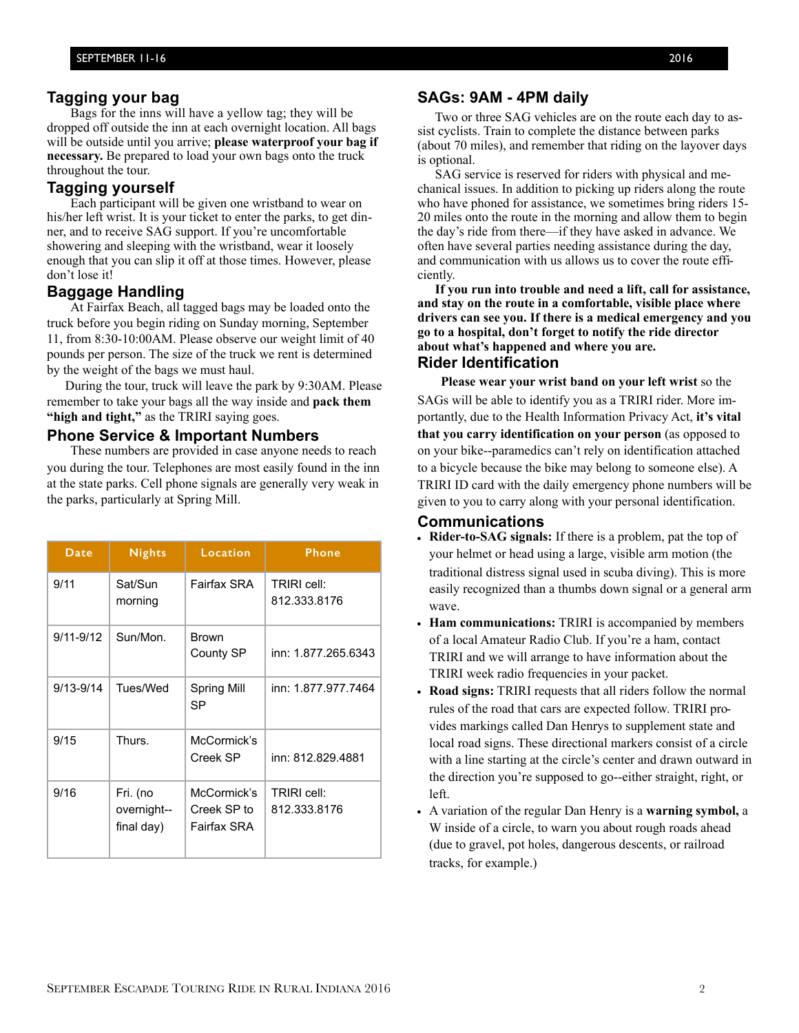### **Tagging your bag**

Bags for the inns will have a yellow tag; they will be dropped off outside the inn at each overnight location. All bags will be outside until you arrive; **please waterproof your bag if necessary.** Be prepared to load your own bags onto the truck throughout the tour.

### **Tagging yourself**

Each participant will be given one wristband to wear on his/her left wrist. It is your ticket to enter the parks, to get dinner, and to receive SAG support. If you're uncomfortable showering and sleeping with the wristband, wear it loosely enough that you can slip it off at those times. However, please don't lose it!

### **Baggage Handling**

 At Fairfax Beach, all tagged bags may be loaded onto the truck before you begin riding on Sunday morning, September 11, from 8:30-10:00AM. Please observe our weight limit of 40 pounds per person. The size of the truck we rent is determined by the weight of the bags we must haul.

During the tour, truck will leave the park by 9:30AM. Please remember to take your bags all the way inside and **pack them "high and tight,"** as the TRIRI saying goes.

#### **Phone Service & Important Numbers**

These numbers are provided in case anyone needs to reach you during the tour. Telephones are most easily found in the inn at the state parks. Cell phone signals are generally very weak in the parks, particularly at Spring Mill.

| Date          | <b>Nights</b>                         | Location                                  | <b>Phone</b>                |
|---------------|---------------------------------------|-------------------------------------------|-----------------------------|
| 9/11          | Sat/Sun<br>morning                    | Fairfax SRA                               | TRIRI cell:<br>812.333.8176 |
| $9/11 - 9/12$ | Sun/Mon.                              | Brown<br>County SP                        | inn: 1.877.265.6343         |
| $9/13 - 9/14$ | Tues/Wed                              | Spring Mill<br>SP                         | inn: 1.877.977.7464         |
| 9/15          | Thurs.                                | McCormick's<br>Creek SP                   | inn: 812.829.4881           |
| 9/16          | Fri. (no<br>overnight--<br>final day) | McCormick's<br>Creek SP to<br>Fairfax SRA | TRIRI cell:<br>812.333.8176 |

### **SAGs: 9AM - 4PM daily**

Two or three SAG vehicles are on the route each day to assist cyclists. Train to complete the distance between parks (about 70 miles), and remember that riding on the layover days is optional.

 SAG service is reserved for riders with physical and mechanical issues. In addition to picking up riders along the route who have phoned for assistance, we sometimes bring riders 15-20 miles onto the route in the morning and allow them to begin the day's ride from there—if they have asked in advance. We often have several parties needing assistance during the day, and communication with us allows us to cover the route efficiently.

**If you run into trouble and need a lift, call for assistance, and stay on the route in a comfortable, visible place where drivers can see you. If there is a medical emergency and you go to a hospital, don't forget to notify the ride director about what's happened and where you are.**

# **Rider Identification**

**Please wear your wrist band on your left wrist** so the SAGs will be able to identify you as a TRIRI rider. More importantly, due to the Health Information Privacy Act, **it's vital that you carry identification on your person** (as opposed to on your bike--paramedics can't rely on identification attached to a bicycle because the bike may belong to someone else). A TRIRI ID card with the daily emergency phone numbers will be given to you to carry along with your personal identification.

#### **Communications**

- **Rider-to-SAG signals:** If there is a problem, pat the top of your helmet or head using a large, visible arm motion (the traditional distress signal used in scuba diving). This is more easily recognized than a thumbs down signal or a general arm wave.
- **Ham communications:** TRIRI is accompanied by members of a local Amateur Radio Club. If you're a ham, contact TRIRI and we will arrange to have information about the TRIRI week radio frequencies in your packet.
- **Road signs:** TRIRI requests that all riders follow the normal rules of the road that cars are expected follow. TRIRI provides markings called Dan Henrys to supplement state and local road signs. These directional markers consist of a circle with a line starting at the circle's center and drawn outward in the direction you're supposed to go--either straight, right, or left.
- A variation of the regular Dan Henry is a **warning symbol,** a W inside of a circle, to warn you about rough roads ahead (due to gravel, pot holes, dangerous descents, or railroad tracks, for example.)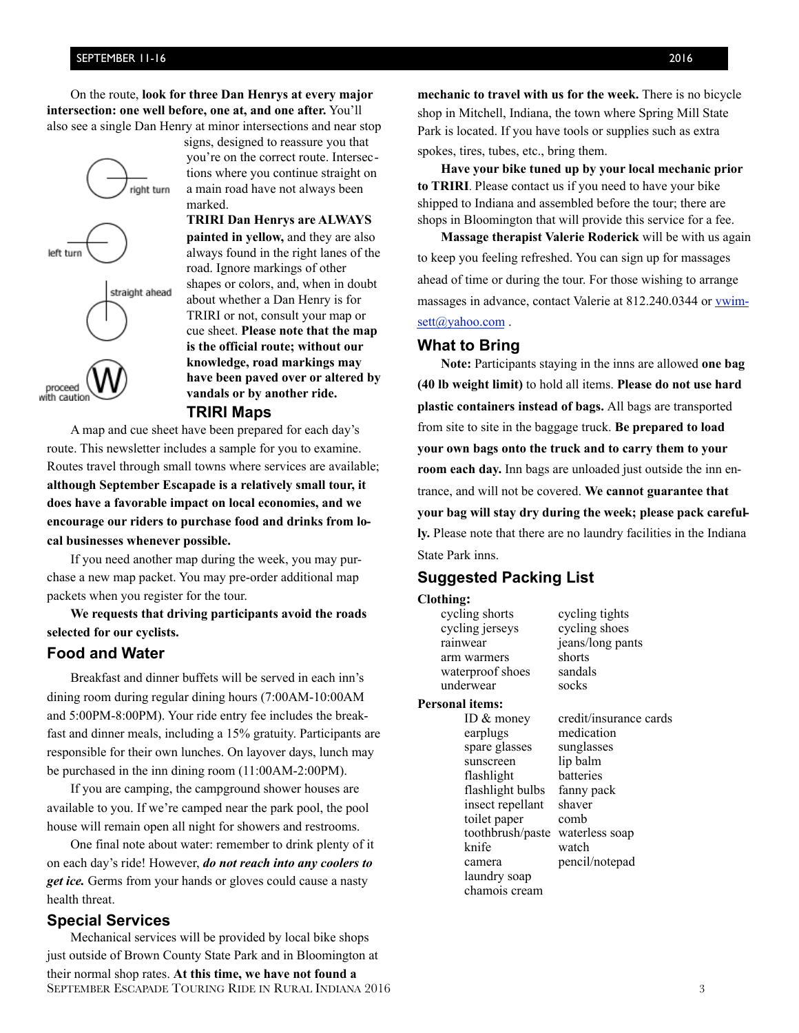On the route, **look for three Dan Henrys at every major intersection: one well before, one at, and one after.** You'll also see a single Dan Henry at minor intersections and near stop

right turn left turn straight ahead proceed with caution

you're on the correct route. Intersections where you continue straight on a main road have not always been marked. **TRIRI Dan Henrys are ALWAYS painted in yellow,** and they are also

signs, designed to reassure you that

always found in the right lanes of the road. Ignore markings of other shapes or colors, and, when in doubt about whether a Dan Henry is for TRIRI or not, consult your map or cue sheet. **Please note that the map is the official route; without our knowledge, road markings may have been paved over or altered by vandals or by another ride. TRIRI Maps** 

A map and cue sheet have been prepared for each day's route. This newsletter includes a sample for you to examine. Routes travel through small towns where services are available; **although September Escapade is a relatively small tour, it does have a favorable impact on local economies, and we encourage our riders to purchase food and drinks from local businesses whenever possible.**

If you need another map during the week, you may purchase a new map packet. You may pre-order additional map packets when you register for the tour.

**We requests that driving participants avoid the roads selected for our cyclists.**

# **Food and Water**

Breakfast and dinner buffets will be served in each inn's dining room during regular dining hours (7:00AM-10:00AM and 5:00PM-8:00PM). Your ride entry fee includes the breakfast and dinner meals, including a 15% gratuity. Participants are responsible for their own lunches. On layover days, lunch may be purchased in the inn dining room (11:00AM-2:00PM).

If you are camping, the campground shower houses are available to you. If we're camped near the park pool, the pool house will remain open all night for showers and restrooms.

One final note about water: remember to drink plenty of it on each day's ride! However, *do not reach into any coolers to get ice.* Germs from your hands or gloves could cause a nasty health threat.

## **Special Services**

Mechanical services will be provided by local bike shops just outside of Brown County State Park and in Bloomington at their normal shop rates. **At this time, we have not found a**  SEPTEMBER ESCAPADE TOURING RIDE IN RURAL INDIANA 2016 3

**mechanic to travel with us for the week.** There is no bicycle shop in Mitchell, Indiana, the town where Spring Mill State Park is located. If you have tools or supplies such as extra spokes, tires, tubes, etc., bring them.

**Have your bike tuned up by your local mechanic prior to TRIRI**. Please contact us if you need to have your bike shipped to Indiana and assembled before the tour; there are shops in Bloomington that will provide this service for a fee.

**Massage therapist Valerie Roderick** will be with us again to keep you feeling refreshed. You can sign up for massages ahead of time or during the tour. For those wishing to arrange [massages in advance, contact Valerie at 812.240.0344 or vwim](mailto:brent@nurrcor.com)sett@yahoo.com.

### **What to Bring**

**Note:** Participants staying in the inns are allowed **one bag (40 lb weight limit)** to hold all items. **Please do not use hard plastic containers instead of bags.** All bags are transported from site to site in the baggage truck. **Be prepared to load your own bags onto the truck and to carry them to your room each day.** Inn bags are unloaded just outside the inn entrance, and will not be covered. **We cannot guarantee that your bag will stay dry during the week; please pack carefully.** Please note that there are no laundry facilities in the Indiana State Park inns.

# **Suggested Packing List**

#### **Clothing:**

cycling shorts cycling tights cycling jerseys cycling shoes rainwear jeans/long pants arm warmers shorts waterproof shoes sandals underwear socks

#### **Personal items:**

 earplugs medication spare glasses sunglasses sunscreen lip balm flashlight batteries flashlight bulbs fanny pack insect repellant shaver toilet paper comb toothbrush/paste waterless soap knife watch camera pencil/notepad laundry soap chamois cream

ID & money credit/insurance cards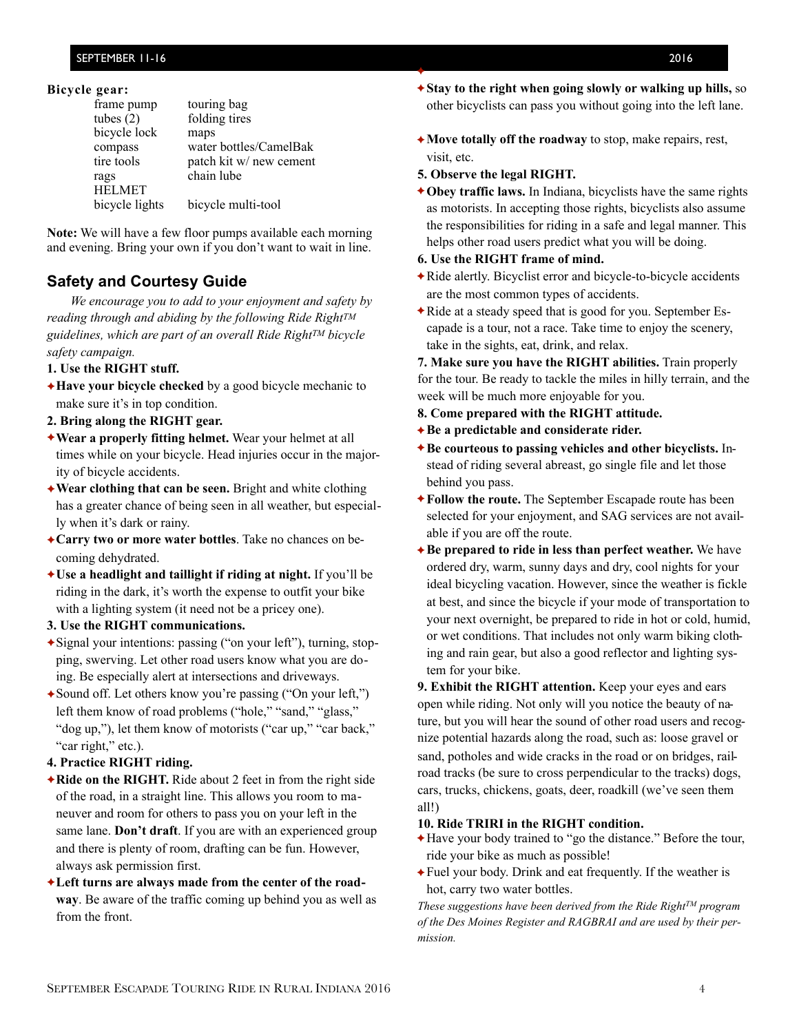#### **Bicycle gear:**

| frame pump     | touring bag             |
|----------------|-------------------------|
| tubes $(2)$    | folding tires           |
| bicycle lock   | maps                    |
| compass        | water bottles/CamelBak  |
| tire tools     | patch kit w/ new cement |
| rags           | chain lube              |
| <b>HELMET</b>  |                         |
| bicycle lights | bicycle multi-tool      |

**Note:** We will have a few floor pumps available each morning and evening. Bring your own if you don't want to wait in line.

# **Safety and Courtesy Guide**

*We encourage you to add to your enjoyment and safety by reading through and abiding by the following Ride RightTM guidelines, which are part of an overall Ride RightTM bicycle safety campaign.*

#### **1. Use the RIGHT stuff.**

- ✦**Have your bicycle checked** by a good bicycle mechanic to make sure it's in top condition.
- **2. Bring along the RIGHT gear.**
- ✦**Wear a properly fitting helmet.** Wear your helmet at all times while on your bicycle. Head injuries occur in the majority of bicycle accidents.
- ✦**Wear clothing that can be seen.** Bright and white clothing has a greater chance of being seen in all weather, but especially when it's dark or rainy.
- ✦**Carry two or more water bottles**. Take no chances on becoming dehydrated.
- ✦**Use a headlight and taillight if riding at night.** If you'll be riding in the dark, it's worth the expense to outfit your bike with a lighting system (it need not be a pricey one).
- **3. Use the RIGHT communications.**
- ✦Signal your intentions: passing ("on your left"), turning, stopping, swerving. Let other road users know what you are doing. Be especially alert at intersections and driveways.
- ✦Sound off. Let others know you're passing ("On your left,") left them know of road problems ("hole," "sand," "glass," "dog up,"), let them know of motorists ("car up," "car back," "car right," etc.).

### **4. Practice RIGHT riding.**

- ✦**Ride on the RIGHT.** Ride about 2 feet in from the right side of the road, in a straight line. This allows you room to maneuver and room for others to pass you on your left in the same lane. **Don't draft**. If you are with an experienced group and there is plenty of room, drafting can be fun. However, always ask permission first.
- ✦**Left turns are always made from the center of the roadway**. Be aware of the traffic coming up behind you as well as from the front.
- ✦**Stay to the right when going slowly or walking up hills,** so other bicyclists can pass you without going into the left lane.
- ✦**Move totally off the roadway** to stop, make repairs, rest, visit, etc.
- **5. Observe the legal RIGHT.**

✦

✦**Obey traffic laws.** In Indiana, bicyclists have the same rights as motorists. In accepting those rights, bicyclists also assume the responsibilities for riding in a safe and legal manner. This helps other road users predict what you will be doing.

#### **6. Use the RIGHT frame of mind.**

- ✦Ride alertly. Bicyclist error and bicycle-to-bicycle accidents are the most common types of accidents.
- ✦Ride at a steady speed that is good for you. September Escapade is a tour, not a race. Take time to enjoy the scenery, take in the sights, eat, drink, and relax.

**7. Make sure you have the RIGHT abilities.** Train properly for the tour. Be ready to tackle the miles in hilly terrain, and the week will be much more enjoyable for you.

- **8. Come prepared with the RIGHT attitude.**
- ✦**Be a predictable and considerate rider.**
- ✦**Be courteous to passing vehicles and other bicyclists.** Instead of riding several abreast, go single file and let those behind you pass.
- ✦**Follow the route.** The September Escapade route has been selected for your enjoyment, and SAG services are not available if you are off the route.
- **★Be prepared to ride in less than perfect weather.** We have ordered dry, warm, sunny days and dry, cool nights for your ideal bicycling vacation. However, since the weather is fickle at best, and since the bicycle if your mode of transportation to your next overnight, be prepared to ride in hot or cold, humid, or wet conditions. That includes not only warm biking clothing and rain gear, but also a good reflector and lighting system for your bike.

**9. Exhibit the RIGHT attention.** Keep your eyes and ears open while riding. Not only will you notice the beauty of nature, but you will hear the sound of other road users and recognize potential hazards along the road, such as: loose gravel or sand, potholes and wide cracks in the road or on bridges, railroad tracks (be sure to cross perpendicular to the tracks) dogs, cars, trucks, chickens, goats, deer, roadkill (we've seen them all!)

#### **10. Ride TRIRI in the RIGHT condition.**

- ✦Have your body trained to "go the distance." Before the tour, ride your bike as much as possible!
- ✦Fuel your body. Drink and eat frequently. If the weather is hot, carry two water bottles.

*These suggestions have been derived from the Ride Right™ program of the Des Moines Register and RAGBRAI and are used by their permission.*